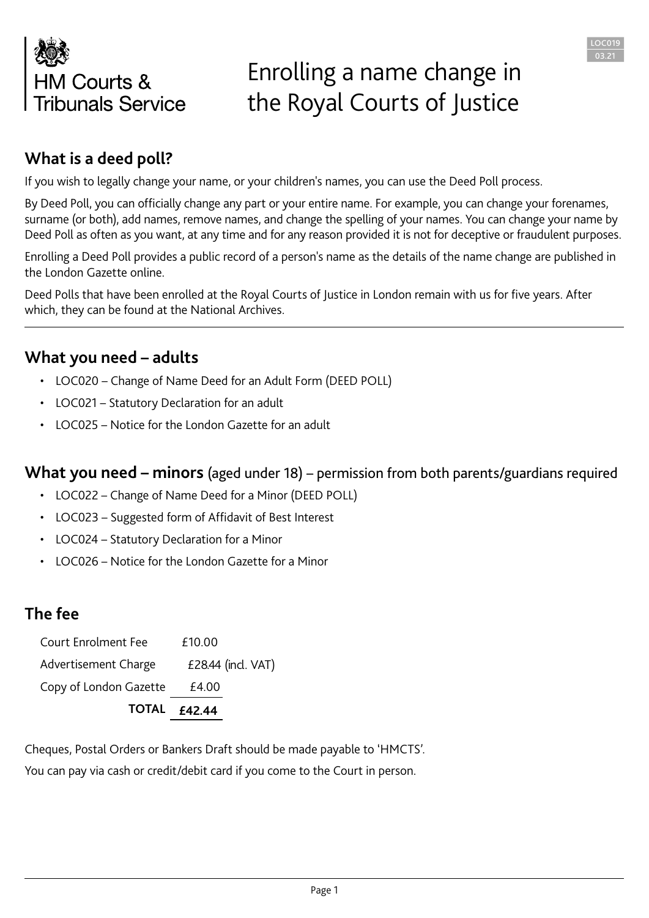

## Enrolling a name change in the Royal Courts of Justice

LOC019 03.21

### **What is a deed poll?**

If you wish to legally change your name, or your children's names, you can use the Deed Poll process.

By Deed Poll, you can officially change any part or your entire name. For example, you can change your forenames, surname (or both), add names, remove names, and change the spelling of your names. You can change your name by Deed Poll as often as you want, at any time and for any reason provided it is not for deceptive or fraudulent purposes.

Enrolling a Deed Poll provides a public record of a person's name as the details of the name change are published in the London Gazette online.

Deed Polls that have been enrolled at the Royal Courts of Justice in London remain with us for five years. After which, they can be found at the National Archives.

#### **What you need – adults**

- LOC020 Change of Name Deed for an Adult Form (DEED POLL)
- LOC021 Statutory Declaration for an adult
- LOC025 Notice for the London Gazette for an adult

#### **What you need – minors** (aged under 18) – permission from both parents/guardians required

- LOC022 Change of Name Deed for a Minor (DEED POLL)
- LOC023 Suggested form of Affidavit of Best Interest
- LOC024 Statutory Declaration for a Minor
- LOC026 Notice for the London Gazette for a Minor

#### **The fee**

|                            | <b>TOTAL £42.44</b> |
|----------------------------|---------------------|
| Copy of London Gazette     | £4.00               |
| Advertisement Charge       | £28.44 (incl. VAT)  |
| <b>Court Enrolment Fee</b> | £10.00              |

Cheques, Postal Orders or Bankers Draft should be made payable to 'HMCTS'. You can pay via cash or credit/debit card if you come to the Court in person.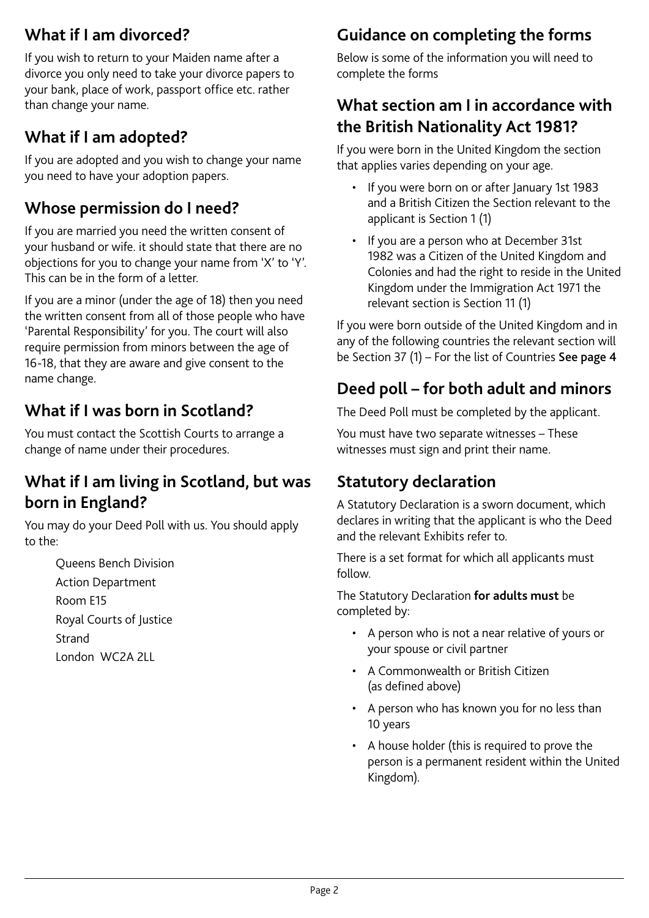## **What if I am divorced?**

If you wish to return to your Maiden name after a divorce you only need to take your divorce papers to your bank, place of work, passport office etc. rather than change your name.

## **What if I am adopted?**

If you are adopted and you wish to change your name you need to have your adoption papers.

## **Whose permission do I need?**

If you are married you need the written consent of your husband or wife. it should state that there are no objections for you to change your name from 'X' to 'Y'. This can be in the form of a letter.

If you are a minor (under the age of 18) then you need the written consent from all of those people who have 'Parental Responsibility' for you. The court will also require permission from minors between the age of 16-18, that they are aware and give consent to the name change.

## **What if I was born in Scotland?**

You must contact the Scottish Courts to arrange a change of name under their procedures.

## **What if I am living in Scotland, but was born in England?**

You may do your Deed Poll with us. You should apply to the:

> Queens Bench Division Action Department Room E15 Royal Courts of Justice Strand London WC2A 2LL

## **Guidance on completing the forms**

Below is some of the information you will need to complete the forms

### **What section am I in accordance with the British Nationality Act 1981?**

If you were born in the United Kingdom the section that applies varies depending on your age.

- If you were born on or after January 1st 1983 and a British Citizen the Section relevant to the applicant is Section 1 (1)
- If you are a person who at December 31st 1982 was a Citizen of the United Kingdom and Colonies and had the right to reside in the United Kingdom under the Immigration Act 1971 the relevant section is Section 11 (1)

If you were born outside of the United Kingdom and in any of the following countries the relevant section will be Section 37 (1) – For the list of Countries See page 4

## **Deed poll – for both adult and minors**

The Deed Poll must be completed by the applicant.

You must have two separate witnesses – These witnesses must sign and print their name.

## **Statutory declaration**

A Statutory Declaration is a sworn document, which declares in writing that the applicant is who the Deed and the relevant Exhibits refer to.

There is a set format for which all applicants must follow.

The Statutory Declaration **for adults must** be completed by:

- A person who is not a near relative of yours or your spouse or civil partner
- A Commonwealth or British Citizen (as defined above)
- A person who has known you for no less than 10 years
- A house holder (this is required to prove the person is a permanent resident within the United Kingdom).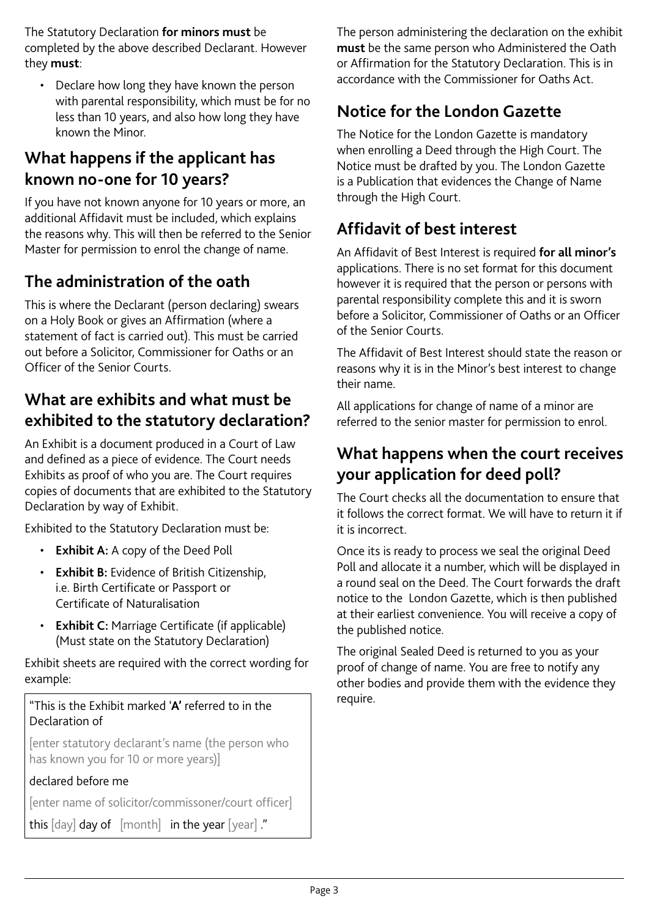The Statutory Declaration **for minors must** be completed by the above described Declarant. However they **must**:

• Declare how long they have known the person with parental responsibility, which must be for no less than 10 years, and also how long they have known the Minor.

### **What happens if the applicant has known no-one for 10 years?**

If you have not known anyone for 10 years or more, an additional Affidavit must be included, which explains the reasons why. This will then be referred to the Senior Master for permission to enrol the change of name.

## **The administration of the oath**

This is where the Declarant (person declaring) swears on a Holy Book or gives an Affirmation (where a statement of fact is carried out). This must be carried out before a Solicitor, Commissioner for Oaths or an Officer of the Senior Courts.

### **What are exhibits and what must be exhibited to the statutory declaration?**

An Exhibit is a document produced in a Court of Law and defined as a piece of evidence. The Court needs Exhibits as proof of who you are. The Court requires copies of documents that are exhibited to the Statutory Declaration by way of Exhibit.

Exhibited to the Statutory Declaration must be:

- **Exhibit A:** A copy of the Deed Poll
- **Exhibit B:** Evidence of British Citizenship, i.e. Birth Certificate or Passport or Certificate of Naturalisation
- **Exhibit C:** Marriage Certificate (if applicable) (Must state on the Statutory Declaration)

Exhibit sheets are required with the correct wording for example:

#### "This is the Exhibit marked '**A'** referred to in the Declaration of

[enter statutory declarant's name (the person who has known you for 10 or more years)]

#### declared before me

[enter name of solicitor/commissoner/court officer]

this  $\lceil \text{day} \rceil$  day of  $\lceil \text{month} \rceil$  in the year  $\lceil \text{year} \rceil$ ."

The person administering the declaration on the exhibit **must** be the same person who Administered the Oath or Affirmation for the Statutory Declaration. This is in accordance with the Commissioner for Oaths Act.

## **Notice for the London Gazette**

The Notice for the London Gazette is mandatory when enrolling a Deed through the High Court. The Notice must be drafted by you. The London Gazette is a Publication that evidences the Change of Name through the High Court.

## **Affidavit of best interest**

An Affidavit of Best Interest is required **for all minor's** applications. There is no set format for this document however it is required that the person or persons with parental responsibility complete this and it is sworn before a Solicitor, Commissioner of Oaths or an Officer of the Senior Courts.

The Affidavit of Best Interest should state the reason or reasons why it is in the Minor's best interest to change their name.

All applications for change of name of a minor are referred to the senior master for permission to enrol.

## **What happens when the court receives your application for deed poll?**

The Court checks all the documentation to ensure that it follows the correct format. We will have to return it if it is incorrect.

Once its is ready to process we seal the original Deed Poll and allocate it a number, which will be displayed in a round seal on the Deed. The Court forwards the draft notice to the London Gazette, which is then published at their earliest convenience. You will receive a copy of the published notice.

The original Sealed Deed is returned to you as your proof of change of name. You are free to notify any other bodies and provide them with the evidence they require.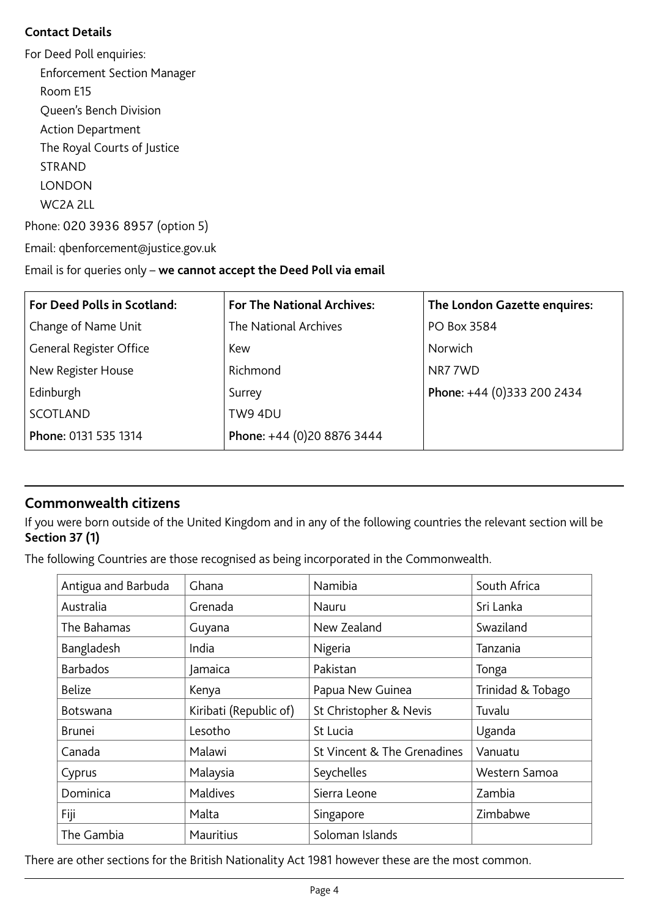#### **Contact Details**

For Deed Poll enquiries: Enforcement Section Manager Room E15 Queen's Bench Division Action Department The Royal Courts of Justice STRAND **LONDON** WC2A 2LL Phone: 020 3936 8957 (option 5)

Email: qbenforcement@justice.gov.uk

#### Email is for queries only – **we cannot accept the Deed Poll via email**

| <b>For Deed Polls in Scotland:</b> | <b>For The National Archives:</b> | The London Gazette enquires: |
|------------------------------------|-----------------------------------|------------------------------|
| Change of Name Unit                | The National Archives             | PO Box 3584                  |
| General Register Office            | Kew                               | Norwich                      |
| New Register House                 | Richmond                          | NR77WD                       |
| Edinburgh                          | Surrey                            | Phone: +44 (0)333 200 2434   |
| SCOTLAND                           | TW9 4DU                           |                              |
| Phone: 0131 535 1314               | Phone: +44 (0)20 8876 3444        |                              |

#### **Commonwealth citizens**

If you were born outside of the United Kingdom and in any of the following countries the relevant section will be **Section 37 (1)**

The following Countries are those recognised as being incorporated in the Commonwealth.

| Antigua and Barbuda | Ghana                  | Namibia                     | South Africa      |
|---------------------|------------------------|-----------------------------|-------------------|
| Australia           | Grenada                | Nauru                       | Sri Lanka         |
| The Bahamas         | Guyana                 | New Zealand                 | Swaziland         |
| Bangladesh          | India                  | Nigeria                     | Tanzania          |
| <b>Barbados</b>     | Jamaica                | Pakistan                    | Tonga             |
| <b>Belize</b>       | Kenya                  | Papua New Guinea            | Trinidad & Tobago |
| <b>Botswana</b>     | Kiribati (Republic of) | St Christopher & Nevis      | Tuvalu            |
| <b>Brunei</b>       | Lesotho                | St Lucia                    | Uganda            |
| Canada              | Malawi                 | St Vincent & The Grenadines | Vanuatu           |
| Cyprus              | Malaysia               | Seychelles                  | Western Samoa     |
| Dominica            | Maldives               | Sierra Leone                | Zambia            |
| Fiji                | Malta                  | Singapore                   | Zimbabwe          |
| The Gambia          | <b>Mauritius</b>       | Soloman Islands             |                   |

There are other sections for the British Nationality Act 1981 however these are the most common.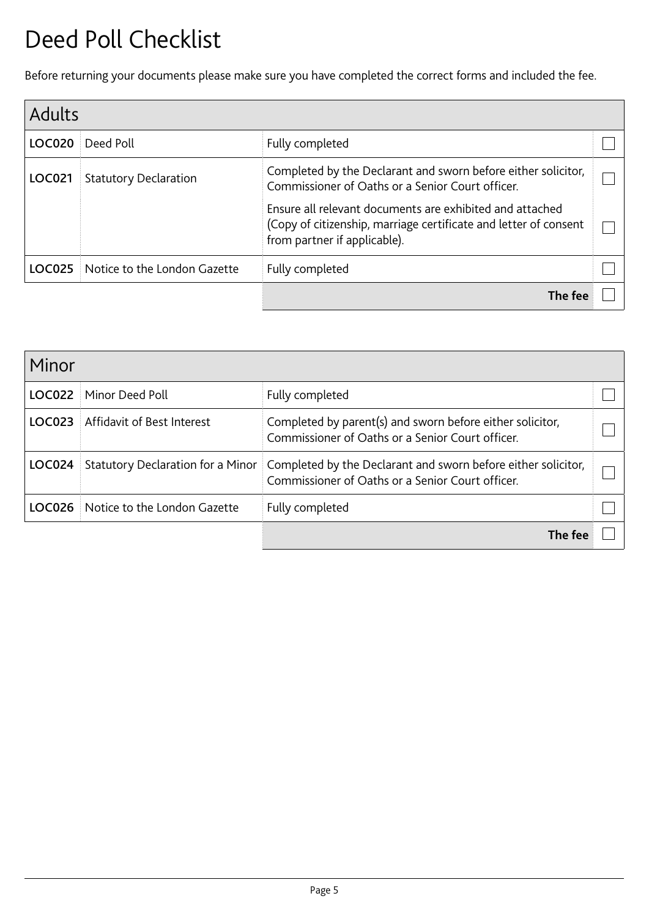## Deed Poll Checklist

Before returning your documents please make sure you have completed the correct forms and included the fee.

| <b>Adults</b> |                              |                                                                                                                                                              |  |  |  |
|---------------|------------------------------|--------------------------------------------------------------------------------------------------------------------------------------------------------------|--|--|--|
| <b>LOC020</b> | Deed Poll                    | Fully completed                                                                                                                                              |  |  |  |
| <b>LOC021</b> | <b>Statutory Declaration</b> | Completed by the Declarant and sworn before either solicitor,<br>Commissioner of Oaths or a Senior Court officer.                                            |  |  |  |
|               |                              | Ensure all relevant documents are exhibited and attached<br>(Copy of citizenship, marriage certificate and letter of consent<br>from partner if applicable). |  |  |  |
| LOC025        | Notice to the London Gazette | Fully completed                                                                                                                                              |  |  |  |
|               |                              | The fee                                                                                                                                                      |  |  |  |

| Minor         |                                   |                                                                                                                   |  |
|---------------|-----------------------------------|-------------------------------------------------------------------------------------------------------------------|--|
| <b>LOC022</b> | Minor Deed Poll                   | Fully completed                                                                                                   |  |
| LOC023        | Affidavit of Best Interest        | Completed by parent(s) and sworn before either solicitor,<br>Commissioner of Oaths or a Senior Court officer.     |  |
| LOC024        | Statutory Declaration for a Minor | Completed by the Declarant and sworn before either solicitor,<br>Commissioner of Oaths or a Senior Court officer. |  |
| LOC026        | Notice to the London Gazette      | Fully completed                                                                                                   |  |
|               |                                   | The fee                                                                                                           |  |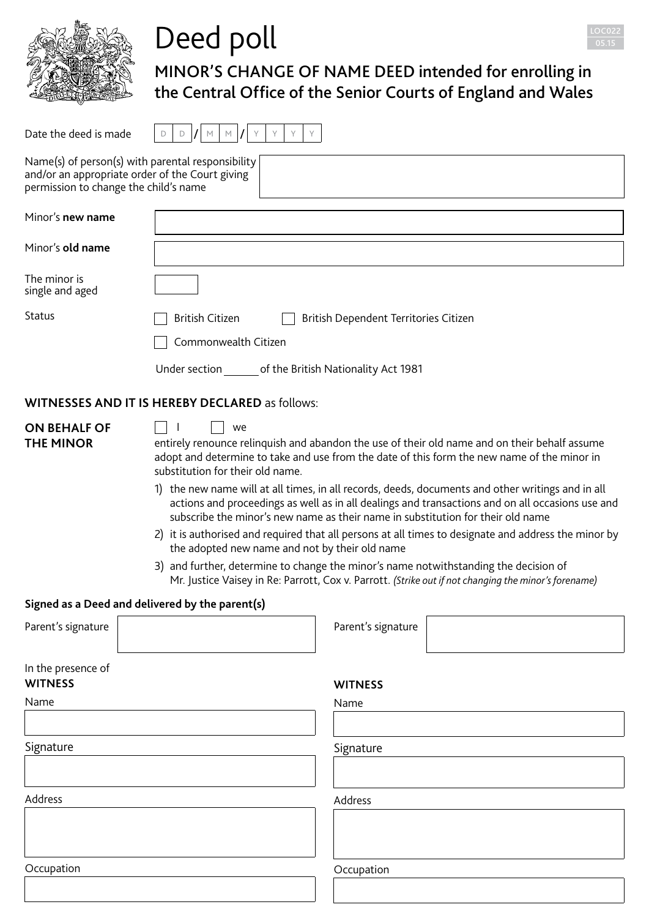

MINOR'S CHANGE OF NAME DEED intended for enrolling in the Central Office of the Senior Courts of England and Wales Date the deed is made <sup>D</sup> <sup>D</sup> / <sup>M</sup> <sup>M</sup> / <sup>Y</sup> <sup>Y</sup> <sup>Y</sup> <sup>Y</sup> Name(s) of person(s) with parental responsibility

| permission to change the child's name   | and/or an appropriate order of the Court giving                                                                                                                                                                                                                     |                                       |                                                                                                                                                                                                                                                                                                                                                                                                                                                                                                                                                                                                                       |
|-----------------------------------------|---------------------------------------------------------------------------------------------------------------------------------------------------------------------------------------------------------------------------------------------------------------------|---------------------------------------|-----------------------------------------------------------------------------------------------------------------------------------------------------------------------------------------------------------------------------------------------------------------------------------------------------------------------------------------------------------------------------------------------------------------------------------------------------------------------------------------------------------------------------------------------------------------------------------------------------------------------|
| Minor's new name                        |                                                                                                                                                                                                                                                                     |                                       |                                                                                                                                                                                                                                                                                                                                                                                                                                                                                                                                                                                                                       |
| Minor's old name                        |                                                                                                                                                                                                                                                                     |                                       |                                                                                                                                                                                                                                                                                                                                                                                                                                                                                                                                                                                                                       |
| The minor is<br>single and aged         |                                                                                                                                                                                                                                                                     |                                       |                                                                                                                                                                                                                                                                                                                                                                                                                                                                                                                                                                                                                       |
| Status                                  | <b>British Citizen</b>                                                                                                                                                                                                                                              | British Dependent Territories Citizen |                                                                                                                                                                                                                                                                                                                                                                                                                                                                                                                                                                                                                       |
|                                         | Commonwealth Citizen                                                                                                                                                                                                                                                |                                       |                                                                                                                                                                                                                                                                                                                                                                                                                                                                                                                                                                                                                       |
|                                         | Under section of the British Nationality Act 1981                                                                                                                                                                                                                   |                                       |                                                                                                                                                                                                                                                                                                                                                                                                                                                                                                                                                                                                                       |
|                                         | <b>WITNESSES AND IT IS HEREBY DECLARED as follows:</b>                                                                                                                                                                                                              |                                       |                                                                                                                                                                                                                                                                                                                                                                                                                                                                                                                                                                                                                       |
| <b>ON BEHALF OF</b><br><b>THE MINOR</b> | we<br>substitution for their old name.<br>subscribe the minor's new name as their name in substitution for their old name<br>the adopted new name and not by their old name<br>3) and further, determine to change the minor's name notwithstanding the decision of |                                       | entirely renounce relinquish and abandon the use of their old name and on their behalf assume<br>adopt and determine to take and use from the date of this form the new name of the minor in<br>1) the new name will at all times, in all records, deeds, documents and other writings and in all<br>actions and proceedings as well as in all dealings and transactions and on all occasions use and<br>2) it is authorised and required that all persons at all times to designate and address the minor by<br>Mr. Justice Vaisey in Re: Parrott, Cox v. Parrott. (Strike out if not changing the minor's forename) |
|                                         | Signed as a Deed and delivered by the parent(s)                                                                                                                                                                                                                     |                                       |                                                                                                                                                                                                                                                                                                                                                                                                                                                                                                                                                                                                                       |
| Parent's signature                      |                                                                                                                                                                                                                                                                     | Parent's signature                    |                                                                                                                                                                                                                                                                                                                                                                                                                                                                                                                                                                                                                       |
| In the presence of<br><b>WITNESS</b>    |                                                                                                                                                                                                                                                                     | <b>WITNESS</b>                        |                                                                                                                                                                                                                                                                                                                                                                                                                                                                                                                                                                                                                       |
| Name                                    |                                                                                                                                                                                                                                                                     | Name                                  |                                                                                                                                                                                                                                                                                                                                                                                                                                                                                                                                                                                                                       |
| Signature                               |                                                                                                                                                                                                                                                                     | Signature                             |                                                                                                                                                                                                                                                                                                                                                                                                                                                                                                                                                                                                                       |
| Address                                 |                                                                                                                                                                                                                                                                     | Address                               |                                                                                                                                                                                                                                                                                                                                                                                                                                                                                                                                                                                                                       |
| Occupation                              |                                                                                                                                                                                                                                                                     | Occupation                            |                                                                                                                                                                                                                                                                                                                                                                                                                                                                                                                                                                                                                       |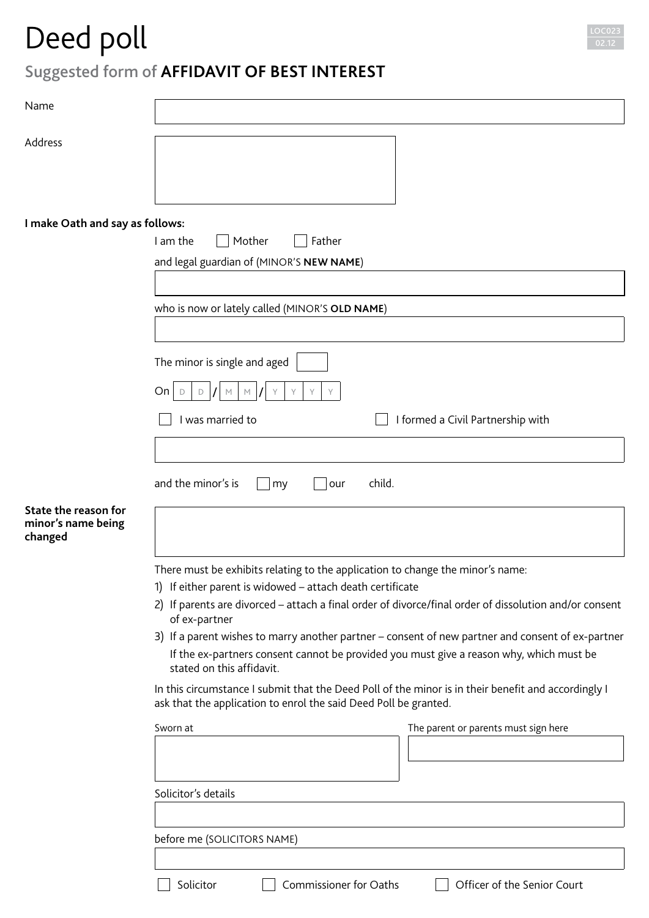

## Suggested form of **AFFIDAVIT OF BEST INTEREST**

| Name                                                  |                                                                                                                                                                                      |
|-------------------------------------------------------|--------------------------------------------------------------------------------------------------------------------------------------------------------------------------------------|
| Address                                               |                                                                                                                                                                                      |
|                                                       |                                                                                                                                                                                      |
|                                                       |                                                                                                                                                                                      |
| I make Oath and say as follows:                       | Mother<br>I am the<br>Father                                                                                                                                                         |
|                                                       | and legal guardian of (MINOR'S NEW NAME)                                                                                                                                             |
|                                                       |                                                                                                                                                                                      |
|                                                       | who is now or lately called (MINOR'S OLD NAME)                                                                                                                                       |
|                                                       |                                                                                                                                                                                      |
|                                                       | The minor is single and aged                                                                                                                                                         |
|                                                       | On<br>D<br>Y<br>D<br>М<br>Υ<br>M<br>Y                                                                                                                                                |
|                                                       | I was married to<br>I formed a Civil Partnership with                                                                                                                                |
|                                                       |                                                                                                                                                                                      |
|                                                       | and the minor's is<br>child.<br>our<br>my                                                                                                                                            |
| State the reason for<br>minor's name being<br>changed |                                                                                                                                                                                      |
|                                                       | There must be exhibits relating to the application to change the minor's name:                                                                                                       |
|                                                       | 1) If either parent is widowed - attach death certificate<br>2) If parents are divorced - attach a final order of divorce/final order of dissolution and/or consent<br>of ex-partner |
|                                                       | 3) If a parent wishes to marry another partner - consent of new partner and consent of ex-partner                                                                                    |
|                                                       | If the ex-partners consent cannot be provided you must give a reason why, which must be<br>stated on this affidavit.                                                                 |
|                                                       | In this circumstance I submit that the Deed Poll of the minor is in their benefit and accordingly I<br>ask that the application to enrol the said Deed Poll be granted.              |
|                                                       | Sworn at<br>The parent or parents must sign here                                                                                                                                     |
|                                                       |                                                                                                                                                                                      |
|                                                       | Solicitor's details                                                                                                                                                                  |
|                                                       | before me (SOLICITORS NAME)                                                                                                                                                          |
|                                                       |                                                                                                                                                                                      |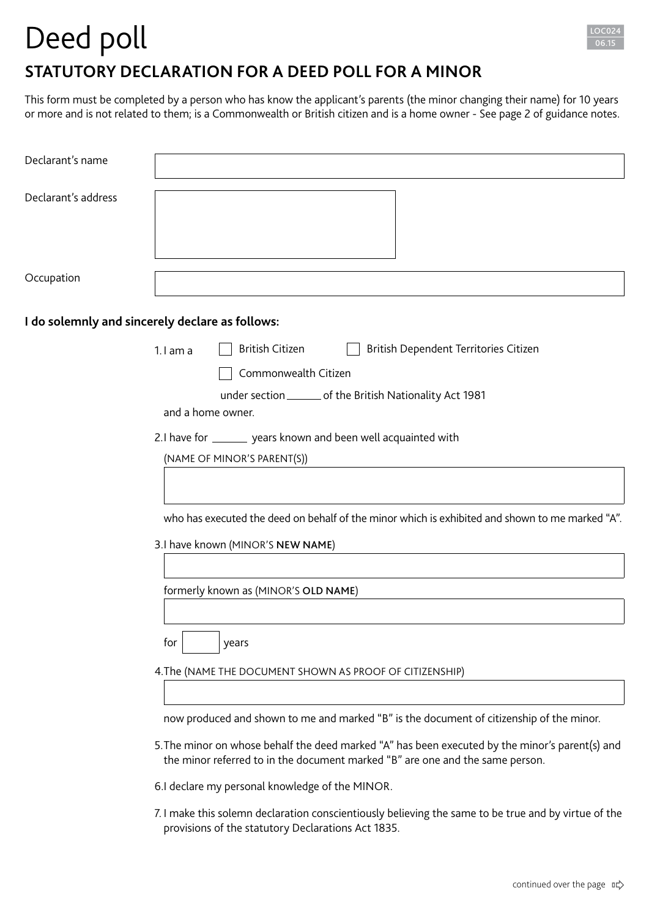

## **STATUTORY DECLARATION FOR A DEED POLL FOR A MINOR**

This form must be completed by a person who has know the applicant's parents (the minor changing their name) for 10 years or more and is not related to them; is a Commonwealth or British citizen and is a home owner - See page 2 of guidance notes.

| Declarant's name                                |                                                                                                                                                                                                                                                                              |
|-------------------------------------------------|------------------------------------------------------------------------------------------------------------------------------------------------------------------------------------------------------------------------------------------------------------------------------|
| Declarant's address                             |                                                                                                                                                                                                                                                                              |
| Occupation                                      |                                                                                                                                                                                                                                                                              |
| I do solemnly and sincerely declare as follows: |                                                                                                                                                                                                                                                                              |
|                                                 | <b>British Citizen</b><br>British Dependent Territories Citizen<br>$1.1$ am a<br>Commonwealth Citizen<br>under section ________ of the British Nationality Act 1981<br>and a home owner.                                                                                     |
|                                                 | 2.I have for ________ years known and been well acquainted with<br>(NAME OF MINOR'S PARENT(S))                                                                                                                                                                               |
|                                                 | who has executed the deed on behalf of the minor which is exhibited and shown to me marked "A".<br>3.I have known (MINOR'S NEW NAME)                                                                                                                                         |
|                                                 | formerly known as (MINOR'S OLD NAME)                                                                                                                                                                                                                                         |
|                                                 | for<br>years<br>4. The (NAME THE DOCUMENT SHOWN AS PROOF OF CITIZENSHIP)                                                                                                                                                                                                     |
|                                                 | now produced and shown to me and marked "B" is the document of citizenship of the minor.<br>5. The minor on whose behalf the deed marked "A" has been executed by the minor's parent(s) and<br>the minor referred to in the document marked "B" are one and the same person. |
|                                                 | 6.I declare my personal knowledge of the MINOR.<br>7. I make this solemn declaration conscientiously believing the same to be true and by virtue of the<br>provisions of the statutory Declarations Act 1835.                                                                |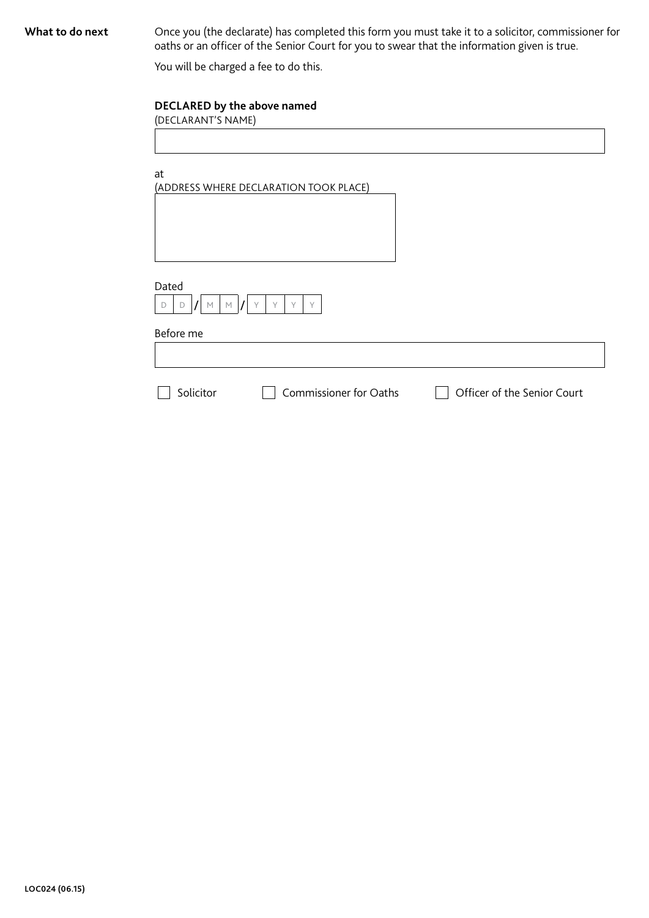What to do next Once you (the declarate) has completed this form you must take it to a solicitor, commissioner for oaths or an officer of the Senior Court for you to swear that the information given is true.

You will be charged a fee to do this.

#### **DECLARED by the above named**

(DECLARANT'S NAME)

at

(ADDRESS WHERE DECLARATION TOOK PLACE)

| Dated |  |    |      |  |  |  |
|-------|--|----|------|--|--|--|
|       |  | b. | b. A |  |  |  |

Before me

Г

Solicitor **Commissioner for Oaths** Cofficer of the Senior Court